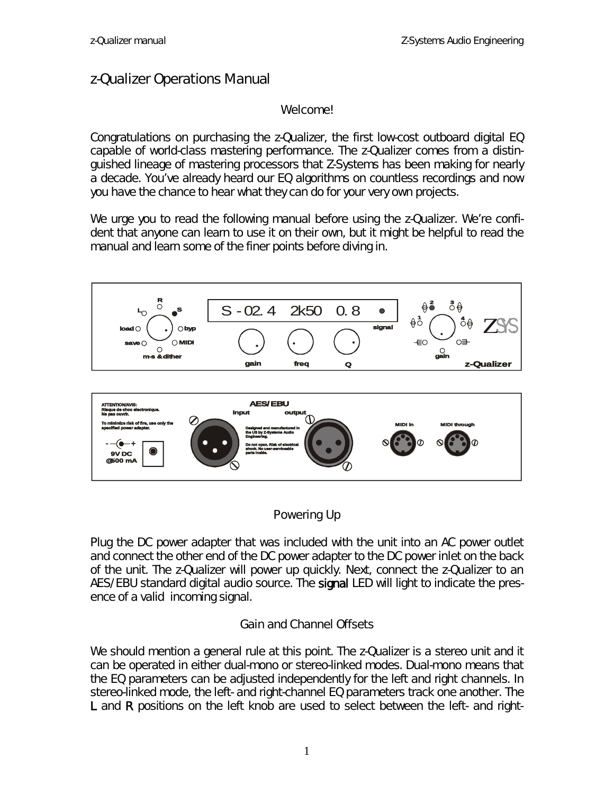## z-Qualizer Operations Manual

#### Welcome!

Congratulations on purchasing the z-Qualizer, the first low-cost outboard digital EQ capable of world-class mastering performance. The z-Qualizer comes from a distinguished lineage of mastering processors that Z-Systems has been making for nearly a decade. You've already heard our EQ algorithms on countless recordings and now you have the chance to hear what they can do for your very own projects.

We urge you to read the following manual before using the z-Qualizer. We're confident that anyone can learn to use it on their own, but it might be helpful to read the manual and learn some of the finer points before diving in.





#### Powering Up

Plug the DC power adapter that was included with the unit into an AC power outlet and connect the other end of the DC power adapter to the DC power inlet on the back of the unit. The z-Qualizer will power up quickly. Next, connect the z-Qualizer to an AES/EBU standard digital audio source. The signal LED will light to indicate the presence of a valid incoming signal.

#### Gain and Channel Offsets

We should mention a general rule at this point. The z-Qualizer is a stereo unit and it can be operated in either dual-mono or stereo-linked modes. Dual-mono means that the EQ parameters can be adjusted independently for the left and right channels. In stereo-linked mode, the left- and right-channel EQ parameters track one another. The L and R positions on the left knob are used to select between the left- and right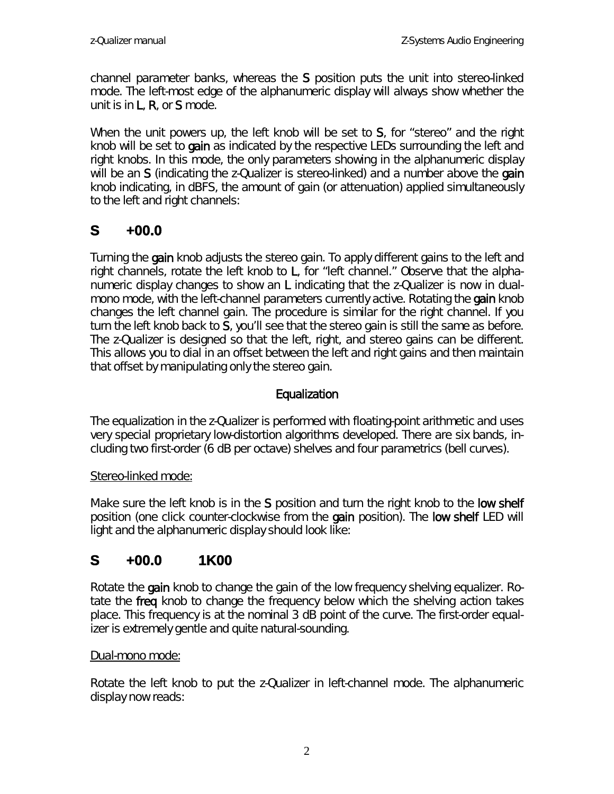channel parameter banks, whereas the S position puts the unit into stereo-linked mode. The left-most edge of the alphanumeric display will always show whether the unit is in L, R, or S mode.

When the unit powers up, the left knob will be set to S, for "stereo" and the right knob will be set to gain as indicated by the respective LEDs surrounding the left and right knobs. In this mode, the only parameters showing in the alphanumeric display will be an S (indicating the z-Qualizer is stereo-linked) and a number above the gain knob indicating, in dBFS, the amount of gain (or attenuation) applied simultaneously to the left and right channels:

# **S +00.0**

Turning the gain knob adjusts the stereo gain. To apply different gains to the left and right channels, rotate the left knob to L, for "left channel." Observe that the alphanumeric display changes to show an L indicating that the z-Qualizer is now in dualmono mode, with the left-channel parameters currently active. Rotating the gain knob changes the left channel gain. The procedure is similar for the right channel. If you turn the left knob back to S, you'll see that the stereo gain is still the same as before. The z-Qualizer is designed so that the left, right, and stereo gains can be different. This allows you to dial in an offset between the left and right gains and then maintain that offset by manipulating only the stereo gain.

### Equalization

The equalization in the z-Qualizer is performed with floating-point arithmetic and uses very special proprietary low-distortion algorithms developed. There are six bands, including two first-order (6 dB per octave) shelves and four parametrics (bell curves).

#### Stereo-linked mode:

Make sure the left knob is in the S position and turn the right knob to the low shelf position (one click counter-clockwise from the gain position). The low shelf LED will light and the alphanumeric display should look like:

# **S +00.0 1K00**

Rotate the gain knob to change the gain of the low frequency shelving equalizer. Rotate the freq knob to change the frequency *below* which the shelving action takes place. This frequency is at the nominal 3 dB point of the curve. The first-order equalizer is extremely gentle and quite natural-sounding.

#### Dual-mono mode:

Rotate the left knob to put the z-Qualizer in left-channel mode. The alphanumeric display now reads: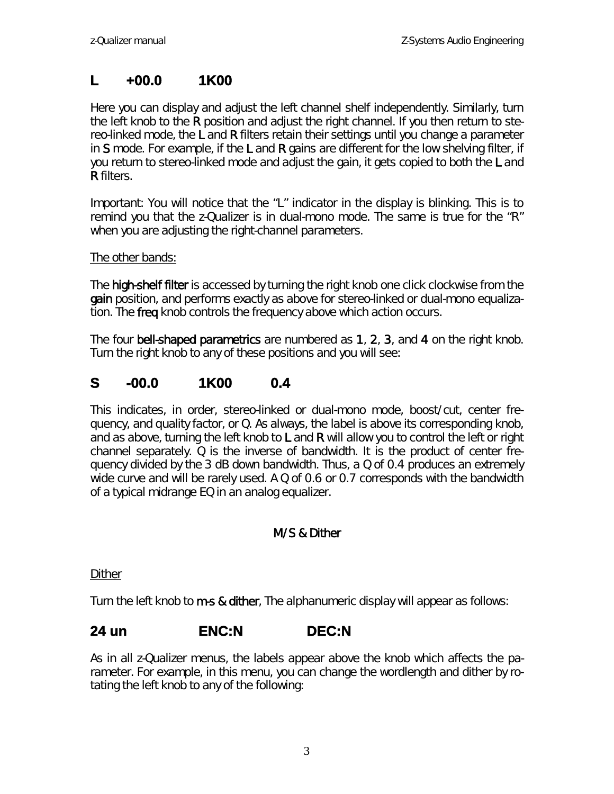# **L +00.0 1K00**

Here you can display and adjust the left channel shelf independently. Similarly, turn the left knob to the R position and adjust the right channel. If you then return to stereo-linked mode, the L and R filters retain their settings until you change a parameter in S mode. For example, if the  $L$  and  $R$  gains are different for the low shelving filter, if you return to stereo-linked mode and adjust the gain, it gets copied to both the L and R filters.

*Important: You will notice that the "L" indicator in the display is blinking. This is to remind you that the z-Qualizer is in dual-mono mode. The same is true for the "R" when you are adjusting the right-channel parameters.*

#### The other bands:

The **high-shelf filter** is accessed by turning the right knob one click clockwise from the gain position, and performs exactly as above for stereo-linked or dual-mono equalization. The freq knob controls the frequency *above* which action occurs.

The four bell-shaped parametrics are numbered as 1, 2, 3, and 4 on the right knob. Turn the right knob to any of these positions and you will see:

# **S -00.0 1K00 0.4**

This indicates, in order, stereo-linked or dual-mono mode, boost/cut, center frequency, and quality factor, or Q. As always, the label is above its corresponding knob, and as above, turning the left knob to  $L$  and  $R$  will allow you to control the left or right channel separately. Q is the inverse of bandwidth. It is the product of center frequency divided by the 3 dB down bandwidth. Thus, a Q of 0.4 produces an extremely wide curve and will be rarely used. A Q of 0.6 or 0.7 corresponds with the bandwidth of a typical midrange EQ in an analog equalizer.

### M/S & Dither

Dither

Turn the left knob to **m-s & dither**, The alphanumeric display will appear as follows:

### **24 un ENC:N DEC:N**

As in all z-Qualizer menus, the labels appear above the knob which affects the parameter. For example, in this menu, you can change the wordlength and dither by rotating the left knob to any of the following: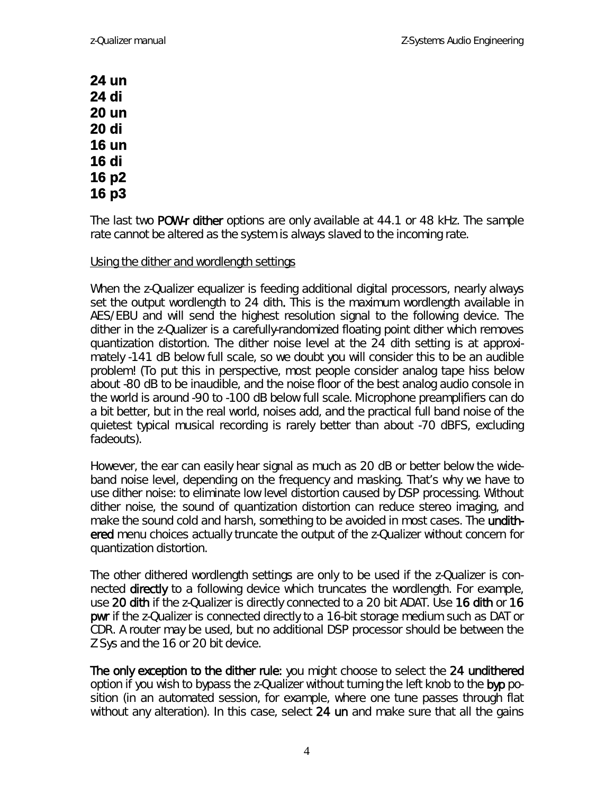**24 un 24 di 20 un 20 di 16 un 16 di 16 p2 16 p3**

The last two POW-r dither options are only available at 44.1 or 48 kHz. The sample rate cannot be altered as the system is always slaved to the incoming rate.

#### Using the dither and wordlength settings

When the z-Qualizer equalizer is feeding additional digital processors, *nearly always set the output wordlength to 24 dith*. This is the maximum wordlength available in AES/EBU and will send the highest resolution signal to the following device. The dither in the z-Qualizer is a carefully-randomized floating point dither which removes quantization distortion. The dither noise level at the 24 dith setting is at approximately -141 dB below full scale, so we doubt you will consider this to be an audible problem! (To put this in perspective, most people consider analog tape hiss below about -80 dB to be inaudible, and the noise floor of the best analog audio console in the world is around -90 to -100 dB below full scale. Microphone preamplifiers can do a bit better, but in the real world, noises add, and the practical full band noise of the quietest typical musical recording is rarely better than about -70 dBFS, excluding fadeouts).

However, the ear can easily hear signal as much as 20 dB or better below the wideband noise level, depending on the frequency and masking. That's why we have to use dither noise: to eliminate low level distortion caused by DSP processing. Without dither noise, the sound of quantization distortion can reduce stereo imaging, and make the sound cold and harsh, something to be avoided in most cases. The **undith**ered menu choices actually truncate the output of the z-Qualizer without concern for quantization distortion.

The other dithered wordlength settings are only to be used if the z-Qualizer is connected **directly** to a following device which truncates the wordlength. For example, use 20 dith if the z-Qualizer is directly connected to a 20 bit ADAT. Use 16 dith or 16 pwr if the z-Qualizer is connected directly to a 16-bit storage medium such as DAT or CDR. A router may be used, but no additional DSP processor should be between the Z Sys and the 16 or 20 bit device.

The only exception to the dither rule: you might choose to select the 24 undithered option if you wish to bypass the z-Qualizer without turning the left knob to the byp position (in an automated session, for example, where one tune passes through flat without any alteration). In this case, select 24 un and make sure that all the gains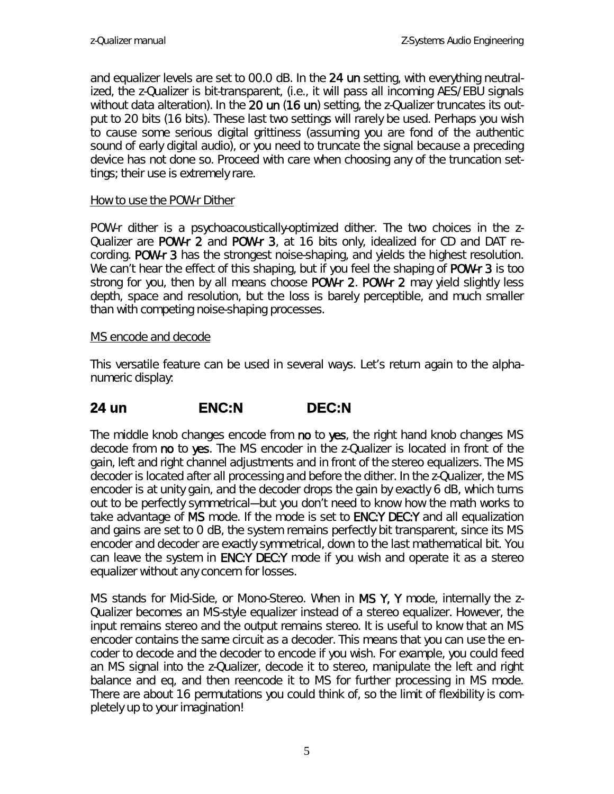and equalizer levels are set to 00.0 dB. In the 24 un setting, with everything neutralized, the z-Qualizer is bit-transparent, (*i.e.*, it will pass all incoming AES/EBU signals without data alteration). In the 20 un (16 un) setting, the z-Qualizer truncates its output to 20 bits (16 bits). These last two settings will rarely be used. Perhaps you wish to cause some serious digital grittiness (assuming you are fond of the authentic sound of early digital audio), or you need to truncate the signal because a preceding device has not done so. Proceed with care when choosing any of the truncation settings; their use is extremely rare.

#### How to use the POW-r Dither

POW-r dither is a psychoacoustically-optimized dither. The two choices in the z-Qualizer are POW-r 2 and POW-r 3, at 16 bits only, idealized for CD and DAT recording. POW-r 3 has the strongest noise-shaping, and yields the highest resolution. We can't hear the effect of this shaping, but if you feel the shaping of **POW-r 3** is too strong for you, then by all means choose POW-r 2. POW-r 2 may yield slightly less depth, space and resolution, but the loss is barely perceptible, and much smaller than with competing noise-shaping processes.

#### MS encode and decode

This versatile feature can be used in several ways. Let's return again to the alphanumeric display:

### **24 un ENC:N DEC:N**

The middle knob changes encode from no to yes, the right hand knob changes MS decode from no to yes. The MS encoder in the z-Qualizer is located in front of the gain, left and right channel adjustments and in front of the stereo equalizers. The MS decoder is located after all processing and before the dither. In the z-Qualizer, the MS encoder is at unity gain, and the decoder drops the gain by exactly 6 dB, which turns out to be perfectly symmetrical---but you don't need to know how the math works to take advantage of MS mode. If the mode is set to ENC:Y DEC:Y and all equalization and gains are set to 0 dB, the system remains perfectly bit transparent, since its MS encoder and decoder are exactly symmetrical, down to the last mathematical bit. You can leave the system in **ENC:Y DEC:Y** mode if you wish and operate it as a stereo equalizer without any concern for losses.

*MS* stands for *Mid-Side*, or *Mono-Stereo*. When in MS Y, Y mode, internally the z-Qualizer becomes an MS-style equalizer instead of a stereo equalizer. However, the input remains stereo and the output remains stereo. It is useful to know that an MS encoder contains the same circuit as a decoder. This means that you can use the encoder to decode and the decoder to encode if you wish. For example, you could feed an MS signal into the z-Qualizer, decode it to stereo, manipulate the left and right balance and eq, and then reencode it to MS for further processing in MS mode. There are about 16 permutations you could think of, so the limit of flexibility is completely up to your imagination!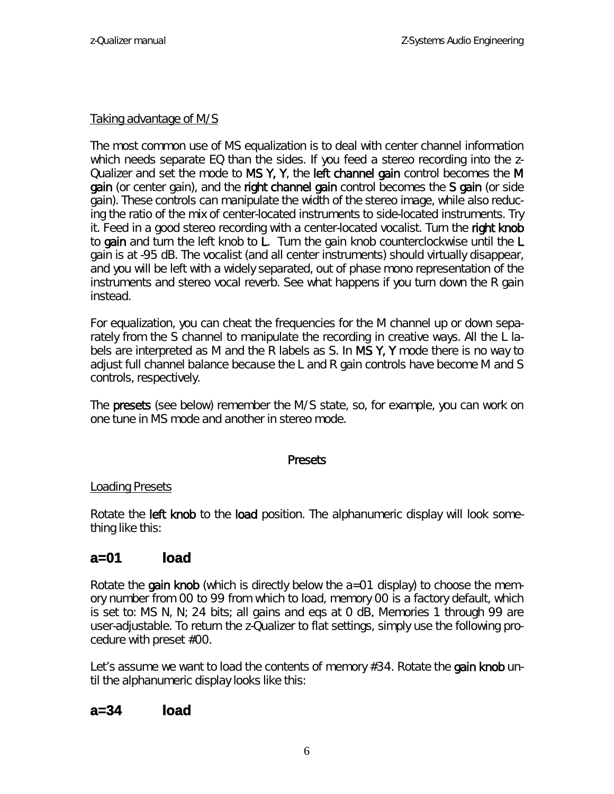#### Taking advantage of M/S

The most common use of MS equalization is to deal with center channel information which needs separate EQ than the sides. If you feed a stereo recording into the z-Qualizer and set the mode to MS Y, Y, the left channel gain control becomes the M gain (or center gain), and the right channel gain control becomes the S gain (or side gain). These controls can manipulate the width of the stereo image, while also reducing the ratio of the mix of center-located instruments to side-located instruments. Try it. Feed in a good stereo recording with a center-located vocalist. Turn the right knob to gain and turn the left knob to L. Turn the gain knob counterclockwise until the L gain is at -95 dB. The vocalist (and all center instruments) should virtually disappear, and you will be left with a widely separated, out of phase mono representation of the instruments and stereo vocal reverb. See what happens if you turn down the R gain instead.

For equalization, you can cheat the frequencies for the M channel up or down separately from the S channel to manipulate the recording in creative ways. All the L labels are interpreted as M and the R labels as S. In  $MS Y$ , Y mode there is no way to adjust full channel balance because the L and R gain controls have become M and S controls, respectively.

The **presets** (see below) remember the M/S state, so, for example, you can work on one tune in MS mode and another in stereo mode.

#### **Presets**

#### Loading Presets

Rotate the **left knob** to the **load** position. The alphanumeric display will look something like this:

# **a=01 load**

Rotate the **gain knob** (which is directly below the  $a=01$  display) to choose the memory number from 00 to 99 from which to load, memory 00 is a factory default, which is set to: *MS N, N; 24 bits; all gains and eqs at 0 dB*. Memories 1 through 99 are user-adjustable. To return the z-Qualizer to flat settings, simply use the following procedure with preset #00.

Let's assume we want to load the contents of memory #34. Rotate the gain knob until the alphanumeric display looks like this:

### **a=34 load**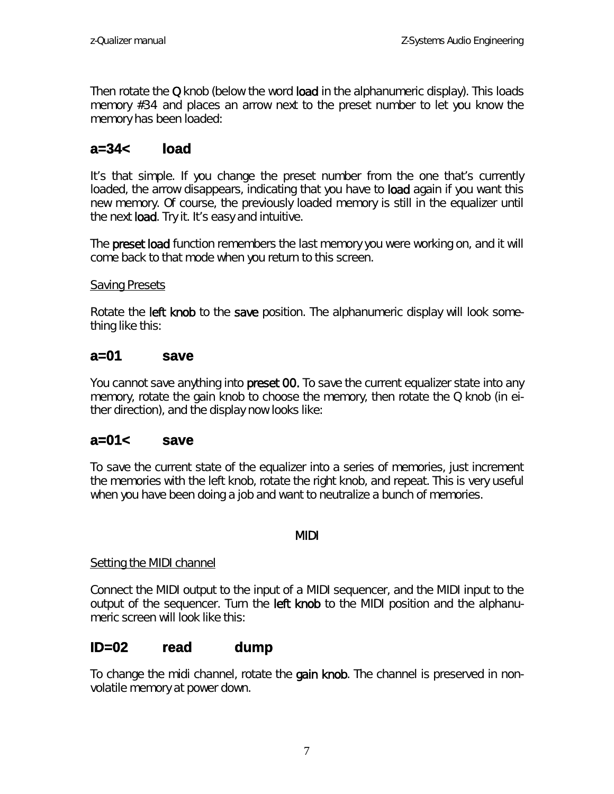Then rotate the  $Q$  knob (below the word load in the alphanumeric display). This loads memory #34 and places an arrow next to the preset number to let you know the memory has been loaded:

# **a=34< load**

It's that simple. If you change the preset number from the one that's currently loaded, the arrow disappears, indicating that you have to load again if you want this new memory. Of course, the previously loaded memory is still in the equalizer until the next **load**. Try it. It's easy and intuitive.

The **preset load** function remembers the last memory you were working on, and it will come back to that mode when you return to this screen.

#### Saving Presets

Rotate the **left knob** to the save position. The alphanumeric display will look something like this:

### **a=01 save**

You cannot save anything into **preset 00**. To save the current equalizer state into any memory, rotate the gain knob to choose the memory, then rotate the Q knob (in either direction), and the display now looks like:

### **a=01< save**

To save the current state of the equalizer into a series of memories, just increment the memories with the left knob, rotate the right knob, and repeat. This is very useful when you have been doing a job and want to neutralize a bunch of memories.

#### MIDI

#### Setting the MIDI channel

Connect the MIDI output to the input of a MIDI sequencer, and the MIDI input to the output of the sequencer. Turn the left knob to the MIDI position and the alphanumeric screen will look like this:

### **ID=02 read dump**

To change the midi channel, rotate the gain knob. The channel is preserved in nonvolatile memory at power down.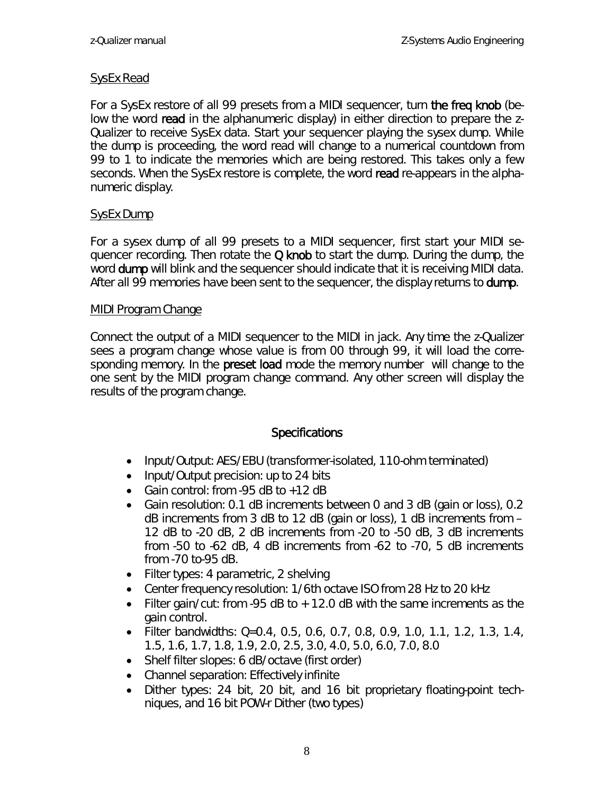#### SysEx Read

For a SysEx restore of all 99 presets from a MIDI sequencer, turn the freq knob (below the word read in the alphanumeric display) in either direction to prepare the z-Qualizer to receive SysEx data. Start your sequencer playing the sysex dump. While the dump is proceeding, the word read will change to a numerical countdown from 99 to 1 to indicate the memories which are being restored. This takes only a few seconds. When the SysEx restore is complete, the word read re-appears in the alphanumeric display.

#### SysEx Dump

For a sysex dump of all 99 presets to a MIDI sequencer, first start your MIDI sequencer recording. Then rotate the  $Q$  knob to start the dump. During the dump, the word **dump** will blink and the sequencer should indicate that it is receiving MIDI data. After all 99 memories have been sent to the sequencer, the display returns to **dump**.

#### MIDI Program Change

Connect the output of a MIDI sequencer to the MIDI in jack. Any time the z-Qualizer sees a program change whose value is from 00 through 99, it will load the corresponding memory. In the preset load mode the memory number will change to the one sent by the MIDI program change command. Any other screen will display the results of the program change.

#### **Specifications**

- Input/Output: AES/EBU (transformer-isolated, 110-ohm terminated)
- Input/Output precision: up to 24 bits
- Gain control: from -95 dB to +12 dB
- Gain resolution: 0.1 dB increments between 0 and 3 dB (gain or loss), 0.2 dB increments from 3 dB to 12 dB (gain or loss), 1 dB increments from – 12 dB to -20 dB, 2 dB increments from -20 to -50 dB, 3 dB increments from -50 to -62 dB, 4 dB increments from -62 to -70, 5 dB increments from -70 to-95 dB.
- Filter types: 4 parametric, 2 shelving
- Center frequency resolution: 1/6th octave ISO from 28 Hz to 20 kHz
- Filter gain/cut: from -95 dB to  $+$  12.0 dB with the same increments as the gain control.
- Filter bandwidths: Q=0.4, 0.5, 0.6, 0.7, 0.8, 0.9, 1.0, 1.1, 1.2, 1.3, 1.4, 1.5, 1.6, 1.7, 1.8, 1.9, 2.0, 2.5, 3.0, 4.0, 5.0, 6.0, 7.0, 8.0
- Shelf filter slopes: 6 dB/octave (first order)
- Channel separation: Effectively infinite
- Dither types: 24 bit, 20 bit, and 16 bit proprietary floating-point techniques, and 16 bit POW-r Dither (two types)